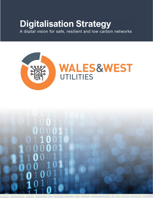# **Digitalisation Strategy**

A digital vision for safe, resilient and low carbon networks



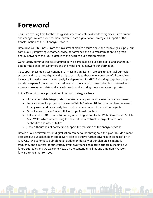# **Foreword**

This is an exciting time for the energy industry as we enter a decade of significant investment and change. We are proud to share our third data digitalisation strategy in support of the transformation of the UK energy network.

Data drives our business. From the investment plan to ensure a safe and reliable gas supply, our continuously improving customer service performance and our transformation to a green energy network of the future, data is at the heart of our decision making.

Our strategy continues to be structured in two parts: making our data digital and sharing our data for the benefit of customers and the wider energy network transformation.

To support these goals, we continue to invest in significant IT projects to overhaul our major systems and make data digital and easily accessible to those who would benefit from it. We have also formed a new data and analytics department for GD2. This brings together analysts and data experts from around our business with the aim of understanding both internal and external stakeholders' data and analysis needs, and ensuring these needs are supported.

In the 15 months since publication of our last strategy we have

- Updated our data triage portal to make data request much easier for our customers
- Led a cross sector project to develop a Whole System CBA tool that has been released for any users and has already been utilised in a number of innovation projects
- Gone live with phase 1 of out IT landscape transformation
- Influenced NUAR to come to our region and signed up to the Welsh Government's Data Map Wales which we are using to share future infrastructure projects with Local Authorities and other utilities
- Shared thousands of datasets to support the transition of the energy network

Details of our achievements in digitalisation can be found throughout this plan. This document also sets out our stakeholder-led delivery plan to achieve further advances in digitalisation in RIIO-GD2. We commit to publishing an update on delivery of our plan on a 6-monthly frequency and a refresh of our strategy every two years. Feedback is critical in shaping our future strategies and we welcome views on the content, timelines and ambition. We look forward to hearing from you.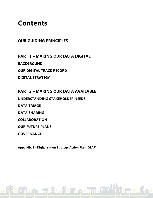## **Contents**

## **OUR GUIDING PRINCIPLES**

**PART 1 – MAKING OUR DATA DIGITAL BACKGROUND OUR DIGITAL TRACK RECORD DIGITAL STRATEGY**

**PART 2 – MAKING OUR DATA AVAILABLE UNDERSTANDING STAKEHOLDER NEEDS DATA TRIAGE DATA SHARING COLLABORATION OUR FUTURE PLANS** 

**GOVERNANCE**

**Appendix 1 - Digitalisation Strategy Action Plan (DSAP)**

**RASH PUAL PUAL PUAL PUAL PROPERTY AND ALL PUAL PROPERTY AND ALL PROPERTY AND ALL PROPERTY AND ALL PROPERTY AND** 

1日 黎 王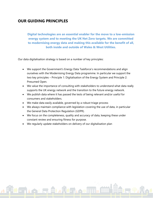### **OUR GUIDING PRINCIPLES**

**Digital technologies are an essential enabler for the move to a low-emission energy system and to meeting the UK Net Zero targets. We are committed to modernising energy data and making this available for the benefit of all, both inside and outside of Wales & West Utilities.**

Our data digitalisation strategy is based on a number of key principles:

- We support the Government's Energy Data Taskforce's recommendations and align ourselves with the Modernising Energy Data programme. In particular we support the two key principles – Principle 1: Digitalisation of the Energy System and Principle 2: Presumed Open.
- We value the importance of consulting with stakeholders to understand what data really supports the UK energy network and the transition to the future energy network.
- We publish data where it has passed the tests of being relevant and/or useful for consumers and stakeholders.
- We make data easily available, governed by a robust triage process
- We always maintain compliance with legislation covering the use of data, in particular the General Data Protection Regulation (GDPR).
- We focus on the completeness, quality and accuracy of data, keeping these under constant review and ensuring fitness for purpose.
- We regularly update stakeholders on delivery of our digitalisation plan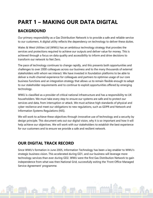## **PART 1 – MAKING OUR DATA DIGITAL**

## **BACKGROUND**

Our primary responsibility as a Gas Distribution Network is to provide a safe and reliable service to our customers. A digital utility reflects the dependency on technology to deliver these duties.

Wales & West Utilities Ltd (WWU) has an ambitious technology strategy that provides the services and protections required to achieve our outputs and deliver value for money. This is achieved through a focus on data quality and accessibility to inform and drive decisions to transform our network to Net Zero.

The pace of technology continues to change rapidly, and this presents both opportunities and challenges to over 2000 colleagues across our business and to the many thousands of external stakeholders with whom we interact. We have invested in foundation platforms to be able to deliver a multi-channel experience for colleagues and partners to optimise usage of our core business functions and an integration strategy that allows us to remain flexible enough to adapt to our stakeholder requirements and to continue to exploit opportunities offered by emerging technology.

WWU is classified as a provider of critical national infrastructure and has a responsibility to UK householders. We must take every step to ensure our systems are safe and to protect our services and data, from interruption or attack. We must achieve high standards of physical and cyber resilience and meet our obligations to new regulations, such as GDPR and Network and Information Systems Regulations (NIS).

We will work to achieve these objectives through innovative use of technology and a security by design principle. This document sets out our digital vision, why it is so important and how it will help achieve our objectives. We will work with our stakeholders to establish the best experience for our customers and to ensure we provide a safe and resilient network.

## **OUR DIGITAL TRACK RECORD**

Since WWU's formation in June 2005, Information Technology has been a key enabler to WWU's strategic business vision. This accelerated during GD1, and our business will leverage more technology services than ever during GD2. WWU were the first Gas Distribution Network to gain independence from what was then National Grid, successfully exiting the 'Front Office Managed Service Agreement' programme.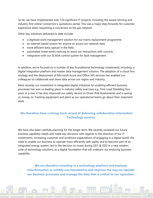So far, we have implemented over 120 significant IT projects, including the award-winning and industry-first online Connection's quotations portal. This was a major step forwards for customer experience when requesting a connection to the gas network.

Other key initiatives delivered to date include:

- a digitised work management solution for our mains replacement programme
- an internet-based system for anyone to access our network data
- more efficient data capture in the field
- automated street works noticing to assist our interactions with councils
- integration with our SCADA control system for fault management

In addition, we've focused on a number of key foundational technology investments including: a digital integration platform and master data management solution. The adoption of a cloud-first strategy and the deployment of Microsoft Azure and Office 365 services has enabled our colleagues to collaborate and share data across our region and industry.

Most recently our investment in integrated digital initiatives for enabling efficient business processes has won us leading place in industry safety exercises e.g., Firm Load Shedding four years in a row; it has also improved our safety record on Driver Risk Assessments and is saving us money on Tracking equipment and plant as our operational teams go about their important work.

#### **We therefore have a strong track record of delivering collaborative Information Technology services**

We have also been carefully planning for the longer term. We recently reviewed our future business capability needs and made key decisions with regards to the direction of our IT investments. Increasing customer and workforce expectations of engaging in a digital world, the need to enable our business to operate more efficiently with agility and to become part of an integrated energy system, led to the decision to invest during GD1 & GD2 in a new modern suite of technology solutions, as a digital foundation that will underpin our enduring business capability.

**We are therefore investing in a technology platform and business transformation to solidify our foundations and improve the way we operate our business processes and manage the data that is critical to our operation.**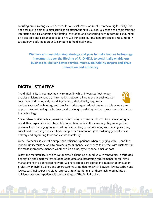Focusing on delivering valued services for our customers, we must become a digital utility. It is not possible to bolt on digitalisation as an afterthought; it is a cultural change to enable efficient interaction and collaboration, facilitating innovation and generating new opportunities founded on accessible and exchangeable data. We will transpose our business processes onto a modern technology platform in order to compete in the digital world.

**We have a forward-looking strategy and plan to make further technology investments over the lifetime of RIIO-GD2, to continually enable our business to: deliver better service, meet sustainability targets and drive innovation and efficiency.**

### **DIGITAL STRATEGY**

The digital utility is a connected environment in which integrated technology enables efficient exchange of information between all areas of our business, our customers and the outside world. Becoming a digital utility requires a



modernisation of technology and a review of the organisational processes. It is as much an approach to re-thinking the business and challenging existing business processes as it is about the technology.

The modern workforce is a generation of technology consumers born into an already-digital world, their expectation is to be able to operate at work in the same way they manage their personal lives, managing finances with online banking, communicating with colleagues using social media, locating qualified tradespeople for maintenance jobs, ordering goods for fast delivery and organising tasks and events seamlessly.

Our customers also expect a simple and efficient experience when engaging with us, and the modern utility must be able to provide a multi-channel experience to interact with customers in the most appropriate manner, whether it be online, by telephone, email or post.

Lastly, the marketplace in which we operate is changing around us with renewables, distributed generation and smart meters all generating data and integration requirements for real-time management of a connected network. We have led or participated in a number of innovation projects with hybrid boilers and smart systems using data to switch between lowest carbon and lowest cost fuel sources. A digital approach to integrating all of these technologies into an efficient customer experience is the challenge of 'The Digital Utility'.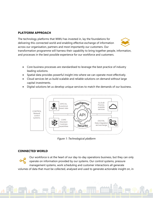#### **PLATFORM APPROACH**

The technology platforms that WWU has invested in, lay the foundations for delivering this connected world and enabling effective exchange of information across our organisation, partners and most importantly our customers. Our transformation programme will harness their capability to bring together people, information, and processes in the best possible experience for our workforce and customers.

- Core business processes are standardised to leverage the best practice of industry leading solutions.
- Spatial data provides powerful insight into where we can operate most effectively.
- Cloud services let us build scalable and reliable solutions on demand without large capital investments.
- Digital solutions let us develop unique services to match the demands of our business.



*Figure 1: Technological platform*

#### **CONNECTED WORLD**

Our workforce is at the heart of our day-to-day operations business, but they can only operate on information provided by our systems. Our control systems, pressure management systems, work scheduling and customer interactions all generate volumes of data that must be collected, analysed and used to generate actionable insight on, in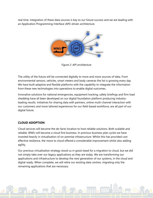real time. Integration of these data sources is key to our future success and we are leading with an Application Programming Interface (API)-driven architecture.



*Figure 2: API architecture*

The utility of the future will be connected digitally to more and more sources of data. From environmental sensors, vehicles, smart meters and body cameras the list is growing every day. We have built adaptive and flexible platforms with the capability to integrate the information from these new technologies into operations to enable digital outcomes.

Innovative solutions for national emergencies, equipment tracking, safety briefings and firm load shedding have all been developed on our digital foundation platform producing industryleading results. Initiatives for sharing data with partners, online multi-channel interaction with our customers and more tailored experiences for our field-based workforce, are all part of our digital future.

#### **CLOUD ADOPTION**

Cloud services will become the de-facto location to host reliable solutions. Both scalable and reliable, WWU will become a cloud first business. In previous business plan cycles we have invested heavily in virtualisation of on-premise infrastructure. Whilst this has provided cost effective resilience, the move to cloud offered a considerable improvement whilst also adding agility.

Our previous virtualisation strategy stood us in good stead for a migration to cloud, but we did not simply take over our legacy applications as they are today. We are transforming our applications and infrastructure to develop the next generation of our systems, in the cloud and digital ready. When complete, we will retire our existing data centres, migrating only the remaining applications that are necessary.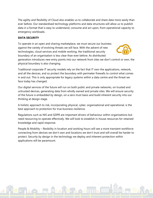The agility and flexibility of Cloud also enables us to collaborate and share data more easily than ever before. Our standardised technology platforms and data structures will allow us to publish data in a format that is easy to understand, consume and act upon, from operational capacity to emergency workloads.

#### **DATA SECURITY**

To operate in an open and sharing marketplace, we must secure our business against the variety of evolving threats we will face. With the advent of new technologies, cloud services and mobile working, the traditional security boundary of an organisation is less clear than ever before. As distributed



generation introduces new entry points into our network from sites we don't control or own, the physical boundary is also changing.

Traditional corporate IT security models rely on the fact that IT own the applications, network, and all the devices, and so protect the boundary with perimeter firewalls to control what comes in and out. This is only appropriate for legacy systems within a data centre and the threat we face today has changed.

Our digital services of the future will run on both public and private networks, on trusted and untrusted devices, generating data from wholly owned and private sites. We will ensure security of the future is embedded by design, on a zero-trust basis and build inherent security into our thinking at design stage.

A holistic approach to risk, incorporating physical, cyber, organisational and operational, is the best approach to protection for true business resilience.

Regulations such as NIS and GDPR are important drivers of behaviour within organisations but need resourcing to operate effectively. We will look to establish in-house resources for retained knowledge and rapid response.

People & Mobility – flexibility in location and working hours will see a more transient workforce connecting from devices we don't own and locations we don't trust and will overall be harder to protect. Security by design in the technology we deploy and inherent protection within applications will be paramount.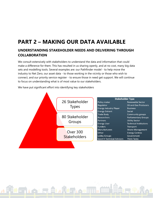## **PART 2 – MAKING OUR DATA AVAILABLE**

### **UNDERSTANDING STAKEHOLDER NEEDS AND DELIVERING THROUGH COLLABORATION**

We consult extensively with stakeholders to understand the data and information that could make a difference for them. This has resulted in us sharing openly, and at no cost, many big data sets and modelling tools. Several examples are: our Pathfinder model - to help move the industry to Net Zero, our asset data - to those working in the vicinity or those who wish to connect, and our priority service register - to ensure those in need get support. We will continue to focus on understanding what is of most value to our stakeholders.



We have put significant effort into identifying key stakeholders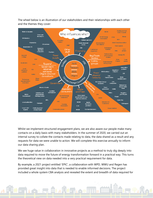The wheel below is an illustration of our stakeholders and their relationships with each other and the themes they cover:



Whilst we implement structured engagement plans, we are also aware our people make many contacts on a daily basis with many stakeholders. In the summer of 2020, we carried out an internal survey to collate the contacts made relating to data, the data shared as a result and any requests for data we were unable to action. We will complete this exercise annually to inform our data sharing plan.

We see huge value in collaboration in innovative projects as a method to truly dig deeply into data required to move the future of energy transformation forward in a practical way. This turns the theoretical view on data needed into a very practical requirement for data.

By example, a 2021 project entitled 'EPIC', a collaboration with WPD, WWU and Regen has provided great insight into data that is needed to enable informed decisions. The project included a whole system CBA analysis and revealed the extent and breadth of data required for

ALLA THE MAIL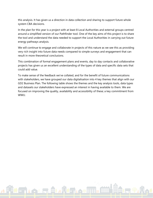this analysis. It has given us a direction in data collection and sharing to support future whole system CBA decisions.

In the plan for this year is a project with at least 8 Local Authorities and external groups centred around a simplified version of our Pathfinder tool. One of the key aims of this project is to share the tool and understand the data needed to support the Local Authorities in carrying out future energy pathways analysis.

We will continue to engage and collaborate in projects of this nature as we see this as providing very rich insight into future data needs compared to simple surveys and engagement that can result in more theoretical conclusions.

This combination of formal engagement plans and events, day to day contacts and collaborative projects has given us an excellent understanding of the types of data and specific data sets that could add value.

To make sense of the feedback we've collated, and for the benefit of future communications with stakeholders, we have grouped our data digitalisation into 4 key themes that align with our GD2 Business Plan. The following table shows the themes and the key analysis tools, data types and datasets our stakeholders have expressed an interest in having available to them. We are focused on improving the quality, availability and accessibility of these; a key commitment from WWU.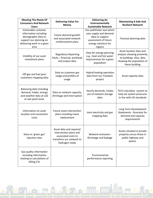| <b>Meeting The Needs Of</b><br><b>Consumers And Network</b><br><b>Users</b>                                                          | <b>Delivering Value For</b><br><b>Money</b>                                                                            | <b>Delivering An</b><br><b>Environmentally</b><br><b>Sustainable Network</b>                                                      | <b>Maintaining A Safe And</b><br><b>Resilient Network</b>                                                                        |
|--------------------------------------------------------------------------------------------------------------------------------------|------------------------------------------------------------------------------------------------------------------------|-----------------------------------------------------------------------------------------------------------------------------------|----------------------------------------------------------------------------------------------------------------------------------|
| Vulnerable customer<br>information including<br>demographic data to<br>support our planning on<br>delivering work in a given<br>area | Future demand growth<br>and associated network<br>reinforcement plans                                                  | Our pathfinder tool which<br>uses supply and demand<br>data to support<br>assessment of future<br>energy solutions for<br>regions | Forecast planning data                                                                                                           |
| Visibility of our asset<br>investment plans                                                                                          | <b>Regulatory Reporting</b><br>Packs - financial, workload<br>and output data                                          | Data for energy planning<br>e.g., heat and hot water<br>requirements for a given<br>population                                    | Asset location data and<br>analysis showing proximity<br>to buildings. Also, data<br>showing the population of<br>these building |
| Off-gas and fuel poor<br>customers mapping data                                                                                      | Data on customer gas<br>usage and profiles of<br>usage                                                                 | Hybrid heating operation<br>data from our Freedom<br>project                                                                      | Asset capacity data                                                                                                              |
| Balancing data including<br>demand, intake, energy<br>and weather data at LDZ<br>or exit point level.                                | Data on network capacity,<br>shrinkage and interruption                                                                | Hourly demands, intake,<br>use of network storage<br>data                                                                         | TD13 calculator -system to<br>help set system pressures<br>in line with UK standards                                             |
| Information on asset<br>location and connection<br>costs                                                                             | Future asset intervention<br>plans including mains<br>replacement                                                      | Joint electricity and gas<br>mapping data                                                                                         | Long Term Development<br>Statements - forecasts for<br>demand and capacity<br>requirements                                       |
| Data on 'green gas'<br>injection sites                                                                                               | Asset data and required<br>intervention plans and<br>associated costs to<br>transform our network to<br>hydrogen ready | Network emissions -<br>Shrinkage and leakage                                                                                      | Assets situated in private<br>property versus those in<br>public highway and<br>spaces                                           |
| Gas quality information<br>including information<br>relating to calculations of<br>billing CVs                                       |                                                                                                                        | Environmental<br>performance reporting                                                                                            |                                                                                                                                  |

ALLA LA LA TIMAȚULO REFERINTI MARITIO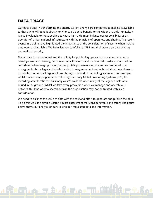## **DATA TRIAGE**

Our data is vital in transforming the energy system and we are committed to making it available to those who will benefit directly or who could derive benefit for the wider UK. Unfortunately, it is also invaluable to those seeking to cause harm. We must balance our responsibility as an operator of critical national infrastructure with the principle of openness and sharing. The recent events in Ukraine have highlighted the importance of the consideration of security when making data open and available. We have listened carefully to CPNI and their advice on data sharing and national security.

Not all data is created equal and the validity for publishing openly must be considered on a case-by-case basis. Privacy, Consumer Impact, security and commercial constraints must all be considered when triaging the opportunity. Data provenance must also be considered. The energy sector has a legacy of assets handed from government and national structures, down to distributed commercial organisations, through a period of technology evolution. For example, whilst modern mapping systems utilise high accuracy Global Positioning Systems (GPS) for recording asset locations, this simply wasn't available when many of the legacy assets were buried in the ground. Whilst we take every precaution when we manage and operate our network, this kind of data shared outside the organisation may not be treated with such consideration.

We need to balance the value of data with the cost and effort to generate and publish the data. To do this we use a simple Boston Square assessment that considers value and effort. The figure below shows our analysis of our stakeholder-requested data and information.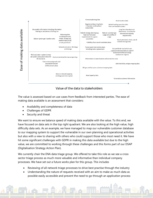

#### Value of the data to stakeholders

The value is assessed based on use cases from feedback from interested parties. The ease of making data available is an assessment that considers:

- Availability and completeness of data
- Challenges of GDPR
- Security and threat

We want to ensure we balance speed of making data available with the value. To this end, we have focused on data sets in the top right quadrant. We are also looking at the high value, high difficulty data sets. As an example, we have managed to map our vulnerable customer database to our mapping system to support the vulnerable in our own planning and operational activities but also with a view to sharing with others who could support those who most need it. We have hit some significant challenges with GDPR in making this data available but due to the high value, we are committed to working through these challenges and this forms part of our DSAP (Digitalisation Strategy Action Plan).

We currently chair the ENA data triage group. We offered to take this role as we see a cross sector triage process as much more valuable and informative than individual company processes. We have set out a future works plan for this group. This includes

- Reviewing of all network triage processes to drive best practise through the industry
- Understanding the nature of requests received with an aim to make as much data as possible easily accessible and prevent the need to go through an application process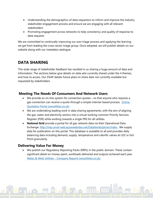- Understanding the demographics of data requestors to inform and improve the industry stakeholder engagement process and ensure we are engaging with all relevant stakeholders
- Promoting engagement across networks to help consistency and quality of response to data requests

We are committed to continually improving our own triage process and applying the learning we get from leading the cross-sector triage group. Once adopted, we will publish details on our website along with our metadata catalogue.

## **DATA SHARING**

This wide range of stakeholder feedback has resulted in us sharing a huge amount of data and information. The sections below give details on data sets currently shared under the 4 themes, and how to access. Our DSAP details future plans to share data not currently available but requested by stakeholders.

#### **Meeting The Needs Of Consumers And Network Users**

- We provide an on-line system for connection quotes so that anyone who requires a gas connection can receive a quote through a simple internet-based process. [Online](https://onlinequote.wwutilities.co.uk/OQAWeb/OQA/Main.aspx)  [Quotation Portal \(wwutilities.co.uk\)](https://onlinequote.wwutilities.co.uk/OQAWeb/OQA/Main.aspx)
- We are undertaking leading work in data sharing agreements, with the aim of aligning the gas, water and electricity sectors into a virtual working common Priority Services Register (PSR) while working towards a single PRS for all utilities.
- **National Grid** provide a portal for all gas network data via their Operational Data Exchange: <http://mip-prod-web.azurewebsites.net/DataItemExplorer/Index> . We supply data for publication on this portal. This database is available to all and provides daily balancing data including demand, supply, temperature and calorific values at LDZ or Exit Point granularity.

#### **Delivering Value For Money**

• We publish our Regulatory Reporting Packs (RRPs) in the public domain. These contain significant detail on money spent, workloads delivered and outputs achieved each year. Wales & West Utilities – [Company Reports \(wwutilities.co.uk\)](https://www.wwutilities.co.uk/about-us/our-company/publications/)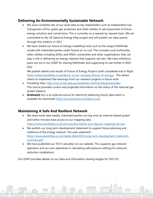#### **Delivering An Environmentally Sustainable Network**

- We issue complete sets of our asset data to key stakeholders such as Independent Gas Transporters (IGTs), green gas producers and other utilities to aid assessment of future energy solutions and connections. This is currently on a request by request basis. We are committed to the UK National Energy Map project and will publish our data openly through this medium in 2021
- We have shared our future of energy modelling tools such as the unique Pathfinder model with interested parties under licence at no cost. This includes Local Authorities, other utilities including GDNs and DNOs, universities and other organisations that can play a role in delivering an energy network that supports net zero. We have ambitious plans set out in our DSAP for sharing Pathfinder and supporting its use further in RIIO-GD2

We publish details and results of Future of Energy Projects both completed and in flight: <https://www.wwutilities.co.uk/about-us/our-company/future-of-energy/> . This allows others to implement the learnings from our research projects in future work

- Prevailing View:<http://mip-prod-web.azurewebsites.net/PrevailingView/Index> This source provides current and projected information on the status of the national gas system balance
- **Gridwatch** this is an external source for electricity balancing hourly data which is available for download**:** <http://www.gridwatch.templar.co.uk/>

#### **Maintaining A Safe And Resilient Network**

- We share asset data readily. Interested parties can log onto an internet-based system and within minutes have access to our mapping data. <https://www.wwutilities.co.uk/services/dial-before-you-dig/our-mapping-service/>
- We publish our long-term development statement to support future planning and resilience of the energy network. Ten-year statement: [https://www.wwutilities.co.uk/media/2844/2018-long-term-development-statement](https://www.wwutilities.co.uk/media/2844/2018-long-term-development-statement-summary.pdf)[summary.pdf](https://www.wwutilities.co.uk/media/2844/2018-long-term-development-statement-summary.pdf)
- We have published our TD13 calculator on our website. This supports gas network operators and our own operatives in calculating safe pressure settings for pressure reduction installations.

Our DSAP provides details on our data and information sharing targets for 2021/22.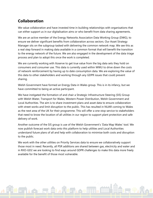## **Collaboration**

We value collaboration and have invested time in building relationships with organisations that can either support us in our digitalisation aims or who benefit from data sharing agreements.

We are an active member of the Energy Networks Association Data Working Group (DWG), to ensure we deliver significant benefits from collaboration across sectors. Our Asset Strategy Manager sits on the subgroup tasked with delivering the common network map. We see this as a real step forward in making data available in a common format that will benefit the transition to the energy network of the future. We are also engaged in the development of the data triage process and plan to adopt this once the work is completed.

We are currently working with Xoserve to get true value from the big data sets they hold on consumers and consumer use. This data is currently used within WWU to drive down the costs of network reinforcement by having up to date consumption data. We are exploring the value of this data to other stakeholders and working through any GDPR issues that could prevent sharing.

Welsh Government have formed an Energy Data in Wales group. This is in its infancy, but we have committed to being an active participant.

We have instigated the formation of and chair a Strategic Infrastructure Steering (SIS) Group with Welsh Water, Transport for Wales, Western Power Distribution, Welsh Government and Local Authorities. The aim is to share investment plans and asset data to ensure collaboration with street works and limit disruption to the public. This has resulted in NUAR coming to Wales as the next area of the UK for their programme. This will offer a one stop service to stakeholders that need to know the location of all utilities in our region to support plant protection and safe delivery of work.

Another outcome of the SIS group is use of the Welsh Government's 'Data Map Wales' tool. We now publish forecast work data onto this platform to help utilities and Local Authorities understand future plans of all and help with collaboration to minimise both costs and disruption to the public.

We work with the other utilities on Priority Services data to ensure we collaboratively support those most in need. Recently, all PSR additions are shared between gas, electricity and water and in RIIO-GD2 we are looking to find ways around GDPR challenges to make this data more freely available for the benefit of those most vulnerable.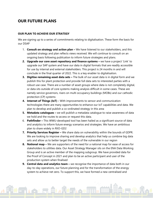## **OUR FUTURE PLANS**

#### **OUR PLAN TO ACHIEVE OUR STRATEGY**

We are signing up to a series of commitments relating to digitalisation. These form the basis for our DSAP

- 1. **Consult on strategy and action plan –** We have listened to our stakeholders, and this updated strategy and plan reflects views received. We will continue to consult on an ongoing basis following publication to inform future strategies and plans.
- **2. Upgrade our core asset repository and finance systems –** we have a project 'Link' to upgrade our SAP system and have our data in digital formats that are readily accessible for use by internal and external stakeholders. This project is 24 months in and will conclude in the final quarter of 2022. This is a key enabler to digitalisation.
- **3. Digitise remaining asset data sets –** The bulk of our asset data is in digital form and we publish this for plant protection and provide full data sets to interested parties with a robust use case. There are a number of asset groups where data is not completely digital, or data sits outside of core systems making analysis difficult in some cases. These are namely service governors, risers on multi occupancy buildings (MOBs) and our cathodic protection (CP) systems
- **4. Internet of Things (IoT) -** With improvements to sensor and communication technologies there are many opportunities to enhance our IoT capabilities and data. We plan to develop and publish a co-ordinated strategy in this area
- **5. Metadata catalogues –** we will publish a metadata catalogue to raise awareness of data we hold and the routes to access or request this data.
- 6. **Pathfinder –** This WWU-developed tool has been hailed as a significant source of data and analytics to inform future energy scenarios and strategies. We have an ambitious plan to share widely in RIIO-GD2
- **7. Priority Services Register –** We share data on vulnerability within the bounds of GDPR. We are looking to improve sharing and develop analytics that help us combine big data sets and allow us to better target the needs of the vulnerable in our region
- **8. National map –** We are supporters of the need for a national map for ease of access for stakeholders to utilities data. Our Asset Strategy Manager sits on the ENA Data Working Group and is an active member of the mapping subgroup. We have provided data for the Proof of Concept in 2021 and plan to be an active participant and user of the production system when finalised
- **9. Central data and analytics team –** we recognise the importance of data both in our day-to-day operations, our future planning and for the transformation of the energy system to achieve net zero. To support this, we have formed a new centralised and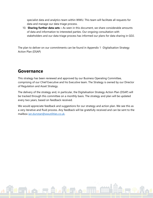specialist data and analytics team within WWU. This team will facilitate all requests for data and manage our data triage process.

10. **Sharing further data sets –** As seen in this document, we share considerable amounts of data and information to interested parties. Our ongoing consultation with stakeholders and our data triage process has informed our plans for data sharing in GD2.

The plan to deliver on our commitments can be found in Appendix 1 -Digitalisation Strategy Action Plan (DSAP)

## **Governance**

This strategy has been reviewed and approved by our Business Operating Committee, comprising of our Chief Executive and his Executive team. The Strategy is owned by our Director of Regulation and Asset Strategy.

The delivery of the strategy and, in particular, the Digitalisation Strategy Action Plan (DSAP) will be tracked through this committee on a monthly basis. The strategy and plan will be updated every two years, based on feedback received.

We would appreciate feedback and suggestions for our strategy and action plan. We see this as a very iterative and fluid process. Any feedback will be gratefully received and can be sent to the mailbox [ian.dunstan@wwutilities.co.uk.](mailto:ian.dunstan@wwutilities.co.uk)